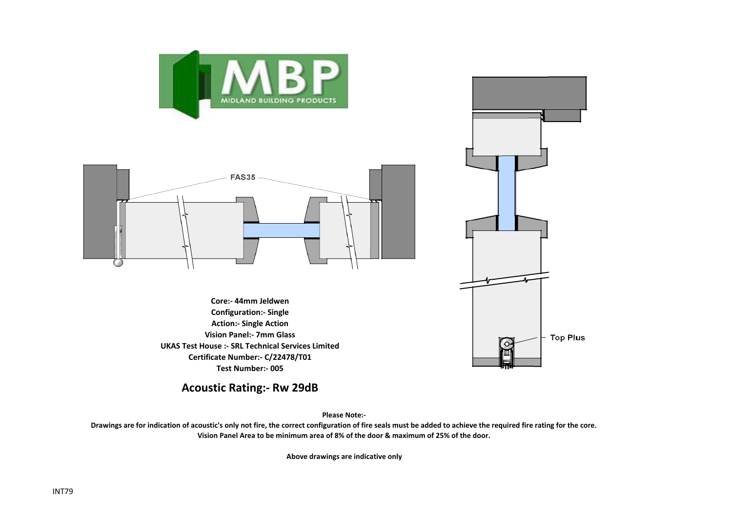



**Core:- 44mm Jeldwen Configuration:- Single Action:- Single Action Vision Panel:- 7mm Glass UKAS Test House :- SRL Technical Services Limited Certificate Number:- C/22478/T01 Test Number:- 005**



**Acoustic Rating:- Rw 29dB**

**Please Note:-** 

**Drawings are for indication of acoustic's only not fire, the correct configuration of fire seals must be added to achieve the required fire rating for the core. Vision Panel Area to be minimum area of 8% of the door & maximum of 25% of the door.**

**Above drawings are indicative only**